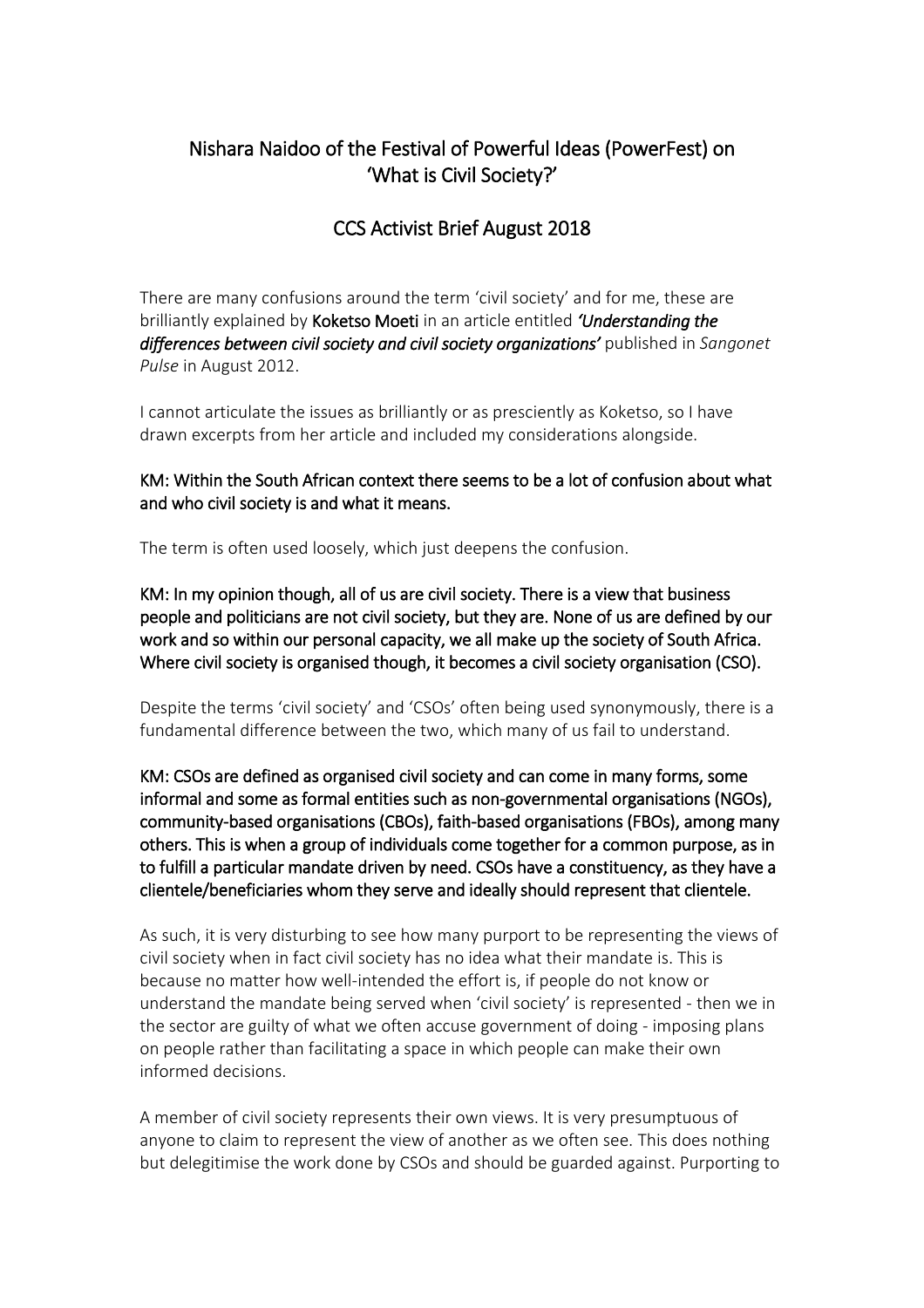## Nishara Naidoo of the Festival of Powerful Ideas (PowerFest) on 'What is Civil Society?'

## CCS Activist Brief August 2018

There are many confusions around the term 'civil society' and for me, these are brilliantly explained by Koketso Moeti in an article entitled *'Understanding the differences between civil society and civil society organizations'* published in *Sangonet Pulse* in August 2012.

I cannot articulate the issues as brilliantly or as presciently as Koketso, so I have drawn excerpts from her article and included my considerations alongside.

KM: Within the South African context there seems to be a lot of confusion about what and who civil society is and what it means.

The term is often used loosely, which just deepens the confusion.

KM: In my opinion though, all of us are civil society. There is a view that business people and politicians are not civil society, but they are. None of us are defined by our work and so within our personal capacity, we all make up the society of South Africa. Where civil society is organised though, it becomes a civil society organisation (CSO).

Despite the terms 'civil society' and 'CSOs' often being used synonymously, there is a fundamental difference between the two, which many of us fail to understand.

KM: CSOs are defined as organised civil society and can come in many forms, some informal and some as formal entities such as non-governmental organisations (NGOs), community-based organisations (CBOs), faith-based organisations (FBOs), among many others. This is when a group of individuals come together for a common purpose, as in to fulfill a particular mandate driven by need. CSOs have a constituency, as they have a clientele/beneficiaries whom they serve and ideally should represent that clientele.

As such, it is very disturbing to see how many purport to be representing the views of civil society when in fact civil society has no idea what their mandate is. This is because no matter how well-intended the effort is, if people do not know or understand the mandate being served when 'civil society' is represented - then we in the sector are guilty of what we often accuse government of doing - imposing plans on people rather than facilitating a space in which people can make their own informed decisions.

A member of civil society represents their own views. It is very presumptuous of anyone to claim to represent the view of another as we often see. This does nothing but delegitimise the work done by CSOs and should be guarded against. Purporting to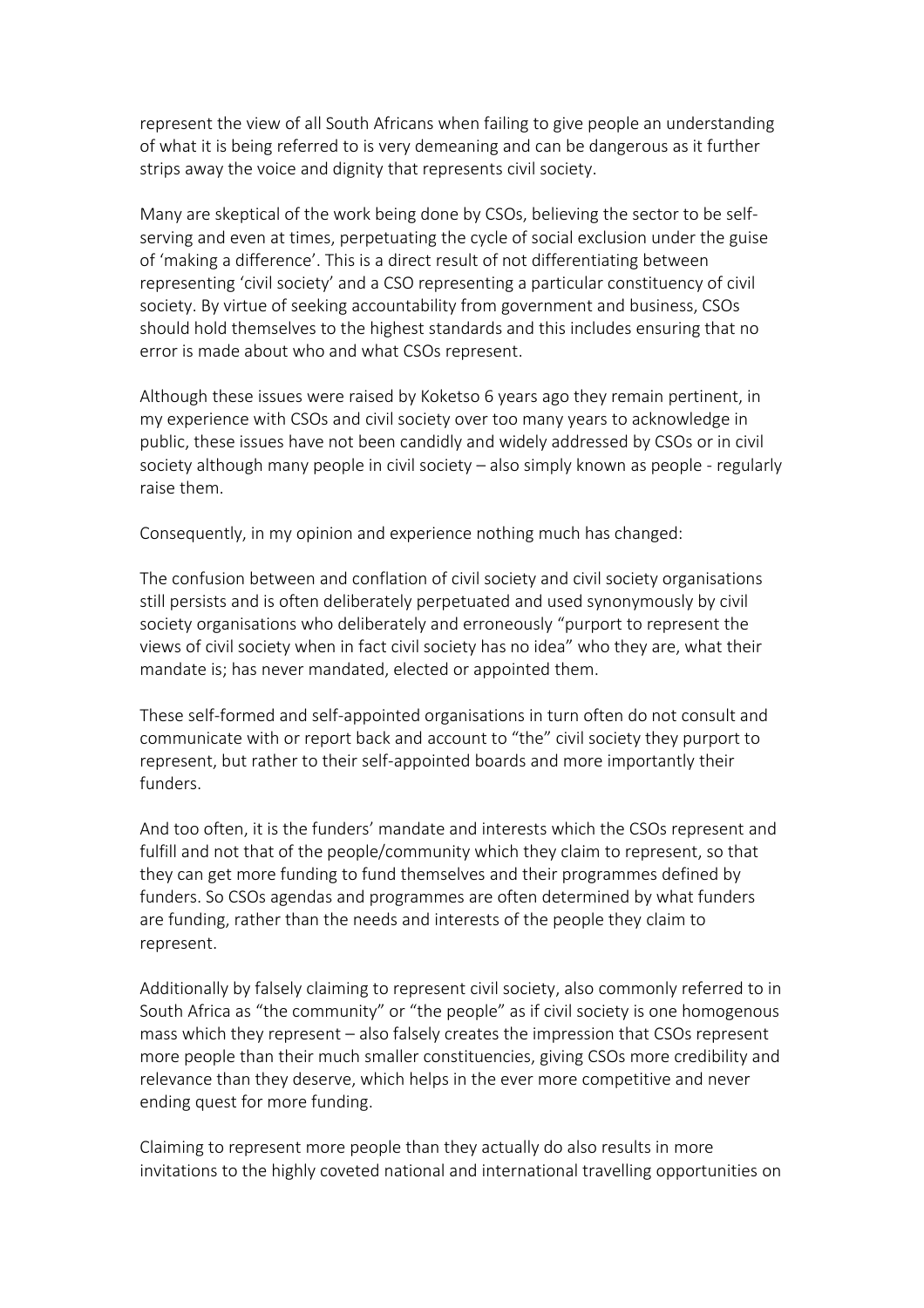represent the view of all South Africans when failing to give people an understanding of what it is being referred to is very demeaning and can be dangerous as it further strips away the voice and dignity that represents civil society.

Many are skeptical of the work being done by CSOs, believing the sector to be selfserving and even at times, perpetuating the cycle of social exclusion under the guise of 'making a difference'. This is a direct result of not differentiating between representing 'civil society' and a CSO representing a particular constituency of civil society. By virtue of seeking accountability from government and business, CSOs should hold themselves to the highest standards and this includes ensuring that no error is made about who and what CSOs represent.

Although these issues were raised by Koketso 6 years ago they remain pertinent, in my experience with CSOs and civil society over too many years to acknowledge in public, these issues have not been candidly and widely addressed by CSOs or in civil society although many people in civil society – also simply known as people - regularly raise them.

Consequently, in my opinion and experience nothing much has changed:

The confusion between and conflation of civil society and civil society organisations still persists and is often deliberately perpetuated and used synonymously by civil society organisations who deliberately and erroneously "purport to represent the views of civil society when in fact civil society has no idea" who they are, what their mandate is; has never mandated, elected or appointed them.

These self-formed and self-appointed organisations in turn often do not consult and communicate with or report back and account to "the" civil society they purport to represent, but rather to their self-appointed boards and more importantly their funders.

And too often, it is the funders' mandate and interests which the CSOs represent and fulfill and not that of the people/community which they claim to represent, so that they can get more funding to fund themselves and their programmes defined by funders. So CSOs agendas and programmes are often determined by what funders are funding, rather than the needs and interests of the people they claim to represent.

Additionally by falsely claiming to represent civil society, also commonly referred to in South Africa as "the community" or "the people" as if civil society is one homogenous mass which they represent – also falsely creates the impression that CSOs represent more people than their much smaller constituencies, giving CSOs more credibility and relevance than they deserve, which helps in the ever more competitive and never ending quest for more funding.

Claiming to represent more people than they actually do also results in more invitations to the highly coveted national and international travelling opportunities on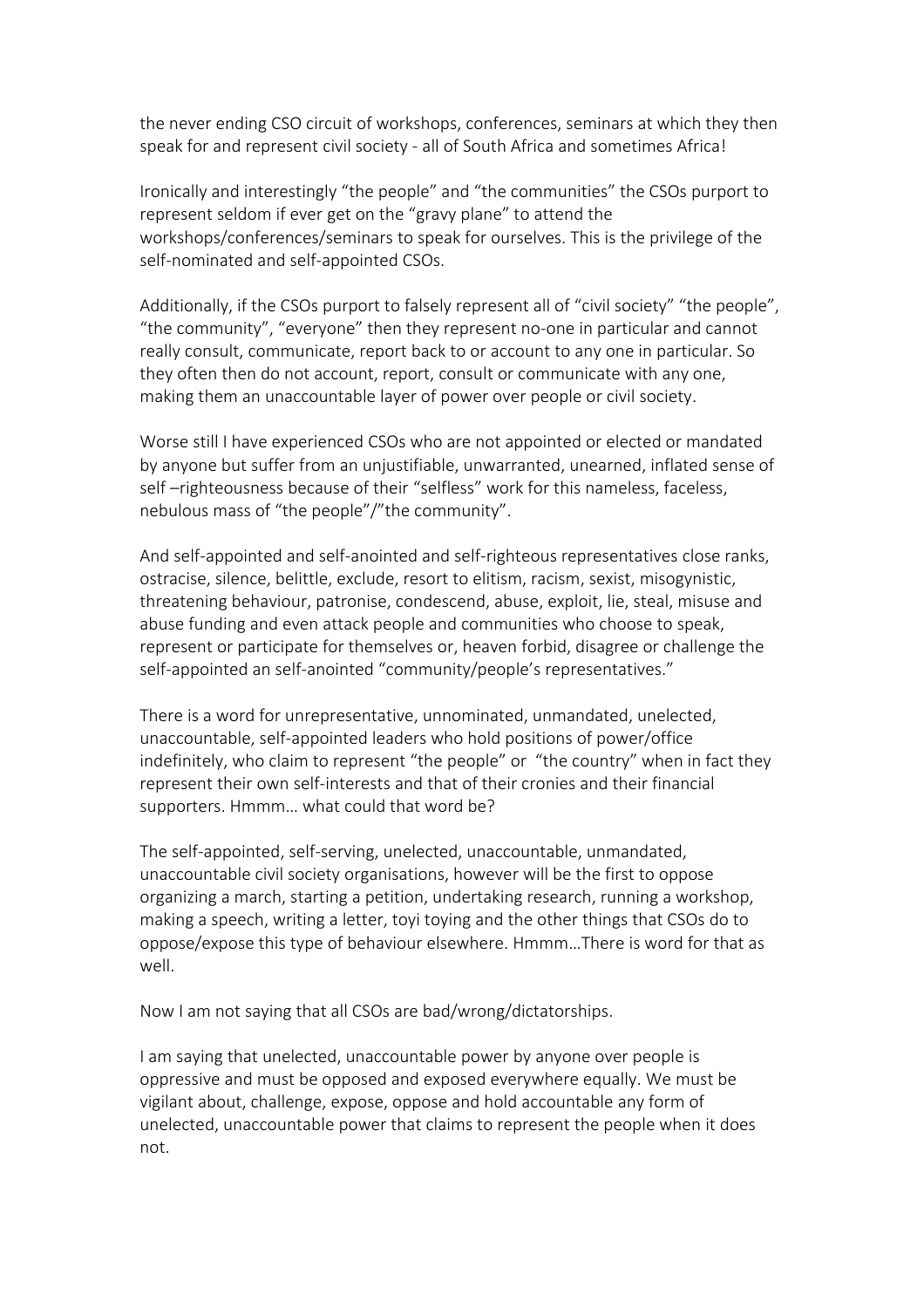the never ending CSO circuit of workshops, conferences, seminars at which they then speak for and represent civil society - all of South Africa and sometimes Africa!

Ironically and interestingly "the people" and "the communities" the CSOs purport to represent seldom if ever get on the "gravy plane" to attend the workshops/conferences/seminars to speak for ourselves. This is the privilege of the self-nominated and self-appointed CSOs.

Additionally, if the CSOs purport to falsely represent all of "civil society" "the people", "the community", "everyone" then they represent no-one in particular and cannot really consult, communicate, report back to or account to any one in particular. So they often then do not account, report, consult or communicate with any one, making them an unaccountable layer of power over people or civil society.

Worse still I have experienced CSOs who are not appointed or elected or mandated by anyone but suffer from an unjustifiable, unwarranted, unearned, inflated sense of self-righteousness because of their "selfless" work for this nameless, faceless, nebulous mass of "the people"/"the community".

And self-appointed and self-anointed and self-righteous representatives close ranks, ostracise, silence, belittle, exclude, resort to elitism, racism, sexist, misogynistic, threatening behaviour, patronise, condescend, abuse, exploit, lie, steal, misuse and abuse funding and even attack people and communities who choose to speak, represent or participate for themselves or, heaven forbid, disagree or challenge the self-appointed an self-anointed "community/people's representatives."

There is a word for unrepresentative, unnominated, unmandated, unelected, unaccountable, self-appointed leaders who hold positions of power/office indefinitely, who claim to represent "the people" or "the country" when in fact they represent their own self-interests and that of their cronies and their financial supporters. Hmmm… what could that word be?

The self-appointed, self-serving, unelected, unaccountable, unmandated, unaccountable civil society organisations, however will be the first to oppose organizing a march, starting a petition, undertaking research, running a workshop, making a speech, writing a letter, toyi toying and the other things that CSOs do to oppose/expose this type of behaviour elsewhere. Hmmm…There is word for that as well.

Now I am not saying that all CSOs are bad/wrong/dictatorships.

I am saying that unelected, unaccountable power by anyone over people is oppressive and must be opposed and exposed everywhere equally. We must be vigilant about, challenge, expose, oppose and hold accountable any form of unelected, unaccountable power that claims to represent the people when it does not.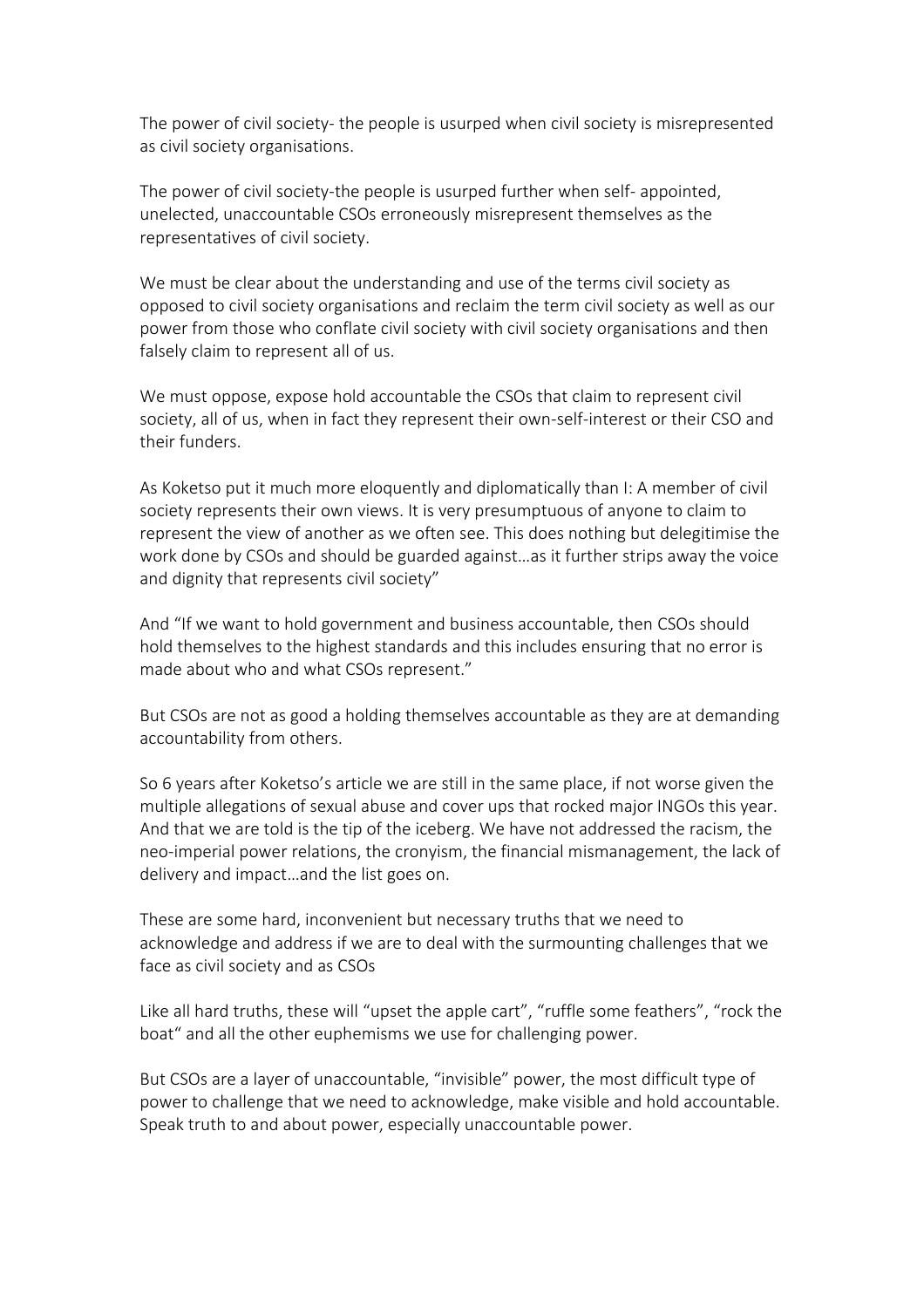The power of civil society- the people is usurped when civil society is misrepresented as civil society organisations.

The power of civil society-the people is usurped further when self- appointed, unelected, unaccountable CSOs erroneously misrepresent themselves as the representatives of civil society.

We must be clear about the understanding and use of the terms civil society as opposed to civil society organisations and reclaim the term civil society as well as our power from those who conflate civil society with civil society organisations and then falsely claim to represent all of us.

We must oppose, expose hold accountable the CSOs that claim to represent civil society, all of us, when in fact they represent their own-self-interest or their CSO and their funders.

As Koketso put it much more eloquently and diplomatically than I: A member of civil society represents their own views. It is very presumptuous of anyone to claim to represent the view of another as we often see. This does nothing but delegitimise the work done by CSOs and should be guarded against…as it further strips away the voice and dignity that represents civil society"

And "If we want to hold government and business accountable, then CSOs should hold themselves to the highest standards and this includes ensuring that no error is made about who and what CSOs represent."

But CSOs are not as good a holding themselves accountable as they are at demanding accountability from others.

So 6 years after Koketso's article we are still in the same place, if not worse given the multiple allegations of sexual abuse and cover ups that rocked major INGOs this year. And that we are told is the tip of the iceberg. We have not addressed the racism, the neo-imperial power relations, the cronyism, the financial mismanagement, the lack of delivery and impact…and the list goes on.

These are some hard, inconvenient but necessary truths that we need to acknowledge and address if we are to deal with the surmounting challenges that we face as civil society and as CSOs

Like all hard truths, these will "upset the apple cart", "ruffle some feathers", "rock the boat" and all the other euphemisms we use for challenging power.

But CSOs are a layer of unaccountable, "invisible" power, the most difficult type of power to challenge that we need to acknowledge, make visible and hold accountable. Speak truth to and about power, especially unaccountable power.